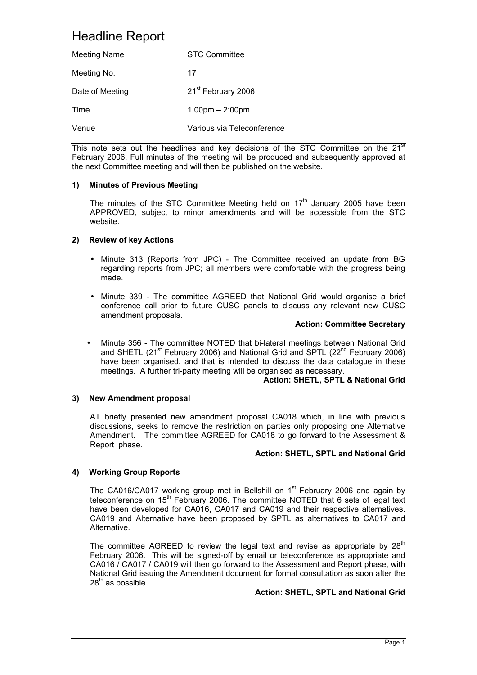# Headline Report

| <b>Meeting Name</b> | <b>STC Committee</b>              |
|---------------------|-----------------------------------|
| Meeting No.         | 17                                |
| Date of Meeting     | 21 <sup>st</sup> February 2006    |
| Time                | $1:00 \text{pm} - 2:00 \text{pm}$ |
| Venue               | Various via Teleconference        |

This note sets out the headlines and key decisions of the STC Committee on the  $21<sup>st</sup>$ February 2006. Full minutes of the meeting will be produced and subsequently approved at the next Committee meeting and will then be published on the website.

#### **1) Minutes of Previous Meeting**

The minutes of the STC Committee Meeting held on  $17<sup>th</sup>$  January 2005 have been APPROVED, subject to minor amendments and will be accessible from the STC website.

#### **2) Review of key Actions**

- Minute 313 (Reports from JPC) The Committee received an update from BG regarding reports from JPC; all members were comfortable with the progress being made.
- Minute 339 The committee AGREED that National Grid would organise a brief conference call prior to future CUSC panels to discuss any relevant new CUSC amendment proposals.

#### **Action: Committee Secretary**

• Minute 356 - The committee NOTED that bi-lateral meetings between National Grid and SHETL (21<sup>st</sup> February 2006) and National Grid and SPTL (22<sup>nd</sup> February 2006) have been organised, and that is intended to discuss the data catalogue in these meetings. A further tri-party meeting will be organised as necessary.

#### **Action: SHETL, SPTL & National Grid**

## **3) New Amendment proposal**

AT briefly presented new amendment proposal CA018 which, in line with previous discussions, seeks to remove the restriction on parties only proposing one Alternative Amendment. The committee AGREED for CA018 to go forward to the Assessment & Report phase.

#### **Action: SHETL, SPTL and National Grid**

## **4) Working Group Reports**

The CA016/CA017 working group met in Bellshill on  $1<sup>st</sup>$  February 2006 and again by teleconference on  $15<sup>th</sup>$  February 2006. The committee NOTED that 6 sets of legal text have been developed for CA016, CA017 and CA019 and their respective alternatives. CA019 and Alternative have been proposed by SPTL as alternatives to CA017 and Alternative.

The committee AGREED to review the legal text and revise as appropriate by  $28<sup>th</sup>$ February 2006. This will be signed-off by email or teleconference as appropriate and CA016 / CA017 / CA019 will then go forward to the Assessment and Report phase, with National Grid issuing the Amendment document for formal consultation as soon after the  $28^{th}$  as possible.

#### **Action: SHETL, SPTL and National Grid**